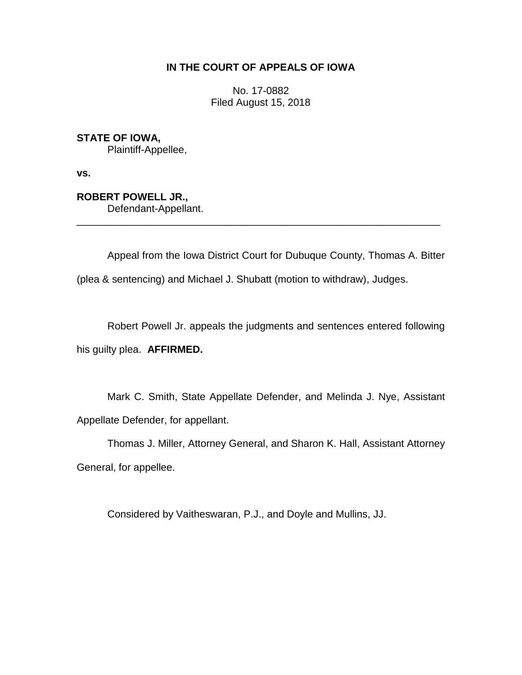## **IN THE COURT OF APPEALS OF IOWA**

No. 17-0882 Filed August 15, 2018

**STATE OF IOWA,** Plaintiff-Appellee,

**vs.**

**ROBERT POWELL JR.,** Defendant-Appellant.

Appeal from the Iowa District Court for Dubuque County, Thomas A. Bitter (plea & sentencing) and Michael J. Shubatt (motion to withdraw), Judges.

\_\_\_\_\_\_\_\_\_\_\_\_\_\_\_\_\_\_\_\_\_\_\_\_\_\_\_\_\_\_\_\_\_\_\_\_\_\_\_\_\_\_\_\_\_\_\_\_\_\_\_\_\_\_\_\_\_\_\_\_\_\_\_\_

Robert Powell Jr. appeals the judgments and sentences entered following his guilty plea. **AFFIRMED.**

Mark C. Smith, State Appellate Defender, and Melinda J. Nye, Assistant Appellate Defender, for appellant.

Thomas J. Miller, Attorney General, and Sharon K. Hall, Assistant Attorney General, for appellee.

Considered by Vaitheswaran, P.J., and Doyle and Mullins, JJ.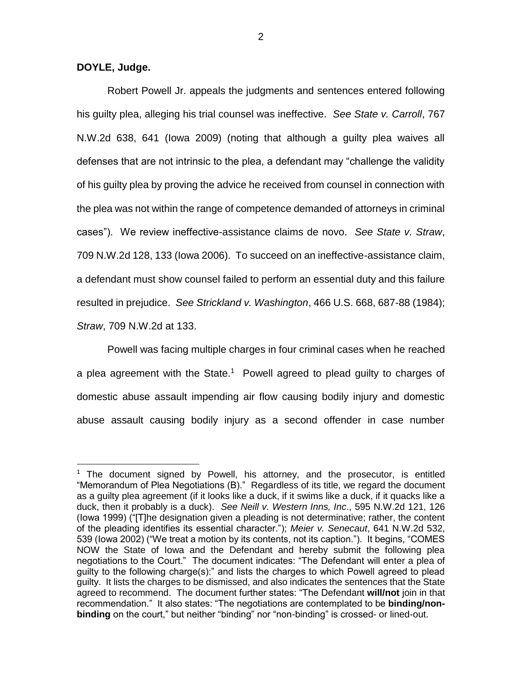**DOYLE, Judge.**

 $\overline{a}$ 

Robert Powell Jr. appeals the judgments and sentences entered following his guilty plea, alleging his trial counsel was ineffective. *See State v. Carroll*, 767 N.W.2d 638, 641 (Iowa 2009) (noting that although a guilty plea waives all defenses that are not intrinsic to the plea, a defendant may "challenge the validity of his guilty plea by proving the advice he received from counsel in connection with the plea was not within the range of competence demanded of attorneys in criminal cases"). We review ineffective-assistance claims de novo. *See State v. Straw*, 709 N.W.2d 128, 133 (Iowa 2006). To succeed on an ineffective-assistance claim, a defendant must show counsel failed to perform an essential duty and this failure resulted in prejudice. *See Strickland v. Washington*, 466 U.S. 668, 687-88 (1984); *Straw*, 709 N.W.2d at 133.

Powell was facing multiple charges in four criminal cases when he reached a plea agreement with the State. $1$  Powell agreed to plead guilty to charges of domestic abuse assault impending air flow causing bodily injury and domestic abuse assault causing bodily injury as a second offender in case number

<sup>1</sup> The document signed by Powell, his attorney, and the prosecutor, is entitled "Memorandum of Plea Negotiations (B)." Regardless of its title, we regard the document as a guilty plea agreement (if it looks like a duck, if it swims like a duck, if it quacks like a duck, then it probably is a duck). *See Neill v. Western Inns, Inc*., 595 N.W.2d 121, 126 (Iowa 1999) ("[T]he designation given a pleading is not determinative; rather, the content of the pleading identifies its essential character."); *Meier v. Senecaut*, 641 N.W.2d 532, 539 (Iowa 2002) ("We treat a motion by its contents, not its caption."). It begins, "COMES NOW the State of Iowa and the Defendant and hereby submit the following plea negotiations to the Court." The document indicates: "The Defendant will enter a plea of guilty to the following charge(s):" and lists the charges to which Powell agreed to plead guilty. It lists the charges to be dismissed, and also indicates the sentences that the State agreed to recommend. The document further states: "The Defendant **will/not** join in that recommendation." It also states: "The negotiations are contemplated to be **binding/nonbinding** on the court," but neither "binding" nor "non-binding" is crossed- or lined-out.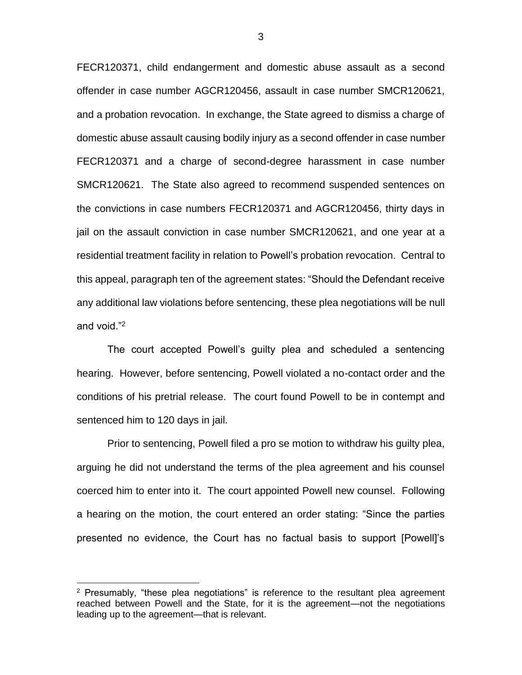FECR120371, child endangerment and domestic abuse assault as a second offender in case number AGCR120456, assault in case number SMCR120621, and a probation revocation. In exchange, the State agreed to dismiss a charge of domestic abuse assault causing bodily injury as a second offender in case number FECR120371 and a charge of second-degree harassment in case number SMCR120621. The State also agreed to recommend suspended sentences on the convictions in case numbers FECR120371 and AGCR120456, thirty days in jail on the assault conviction in case number SMCR120621, and one year at a residential treatment facility in relation to Powell's probation revocation. Central to this appeal, paragraph ten of the agreement states: "Should the Defendant receive any additional law violations before sentencing, these plea negotiations will be null and void."<sup>2</sup>

The court accepted Powell's guilty plea and scheduled a sentencing hearing. However, before sentencing, Powell violated a no-contact order and the conditions of his pretrial release. The court found Powell to be in contempt and sentenced him to 120 days in jail.

Prior to sentencing, Powell filed a pro se motion to withdraw his guilty plea, arguing he did not understand the terms of the plea agreement and his counsel coerced him to enter into it. The court appointed Powell new counsel. Following a hearing on the motion, the court entered an order stating: "Since the parties presented no evidence, the Court has no factual basis to support [Powell]'s

 $\overline{a}$ 

 $2$  Presumably, "these plea negotiations" is reference to the resultant plea agreement reached between Powell and the State, for it is the agreement—not the negotiations leading up to the agreement—that is relevant.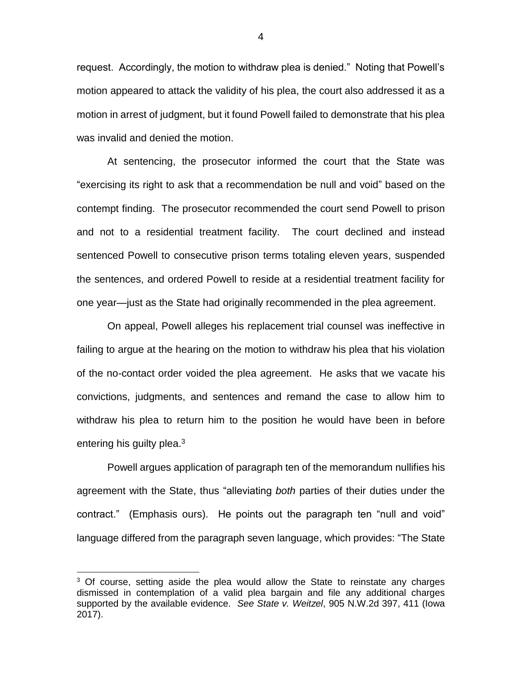request. Accordingly, the motion to withdraw plea is denied." Noting that Powell's motion appeared to attack the validity of his plea, the court also addressed it as a motion in arrest of judgment, but it found Powell failed to demonstrate that his plea was invalid and denied the motion.

At sentencing, the prosecutor informed the court that the State was "exercising its right to ask that a recommendation be null and void" based on the contempt finding. The prosecutor recommended the court send Powell to prison and not to a residential treatment facility. The court declined and instead sentenced Powell to consecutive prison terms totaling eleven years, suspended the sentences, and ordered Powell to reside at a residential treatment facility for one year—just as the State had originally recommended in the plea agreement.

On appeal, Powell alleges his replacement trial counsel was ineffective in failing to argue at the hearing on the motion to withdraw his plea that his violation of the no-contact order voided the plea agreement. He asks that we vacate his convictions, judgments, and sentences and remand the case to allow him to withdraw his plea to return him to the position he would have been in before entering his guilty plea.<sup>3</sup>

Powell argues application of paragraph ten of the memorandum nullifies his agreement with the State, thus "alleviating *both* parties of their duties under the contract." (Emphasis ours). He points out the paragraph ten "null and void" language differed from the paragraph seven language, which provides: "The State

 $\overline{a}$ 

<sup>&</sup>lt;sup>3</sup> Of course, setting aside the plea would allow the State to reinstate any charges dismissed in contemplation of a valid plea bargain and file any additional charges supported by the available evidence. *See State v. Weitzel*, 905 N.W.2d 397, 411 (Iowa 2017).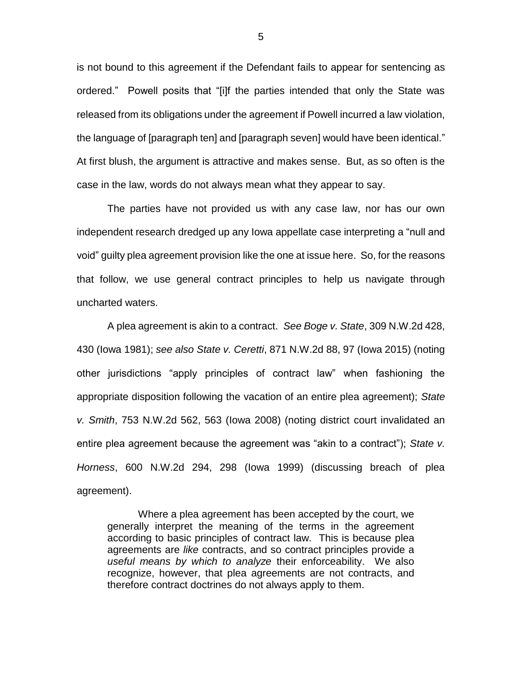is not bound to this agreement if the Defendant fails to appear for sentencing as ordered." Powell posits that "[i]f the parties intended that only the State was released from its obligations under the agreement if Powell incurred a law violation, the language of [paragraph ten] and [paragraph seven] would have been identical." At first blush, the argument is attractive and makes sense. But, as so often is the case in the law, words do not always mean what they appear to say.

The parties have not provided us with any case law, nor has our own independent research dredged up any Iowa appellate case interpreting a "null and void" guilty plea agreement provision like the one at issue here. So, for the reasons that follow, we use general contract principles to help us navigate through uncharted waters.

A plea agreement is akin to a contract. *See Boge v. State*, 309 N.W.2d 428, 430 (Iowa 1981); *see also State v. Ceretti*, 871 N.W.2d 88, 97 (Iowa 2015) (noting other jurisdictions "apply principles of contract law" when fashioning the appropriate disposition following the vacation of an entire plea agreement); *State v. Smith*, 753 N.W.2d 562, 563 (Iowa 2008) (noting district court invalidated an entire plea agreement because the agreement was "akin to a contract"); *State v. Horness*, 600 N.W.2d 294, 298 (Iowa 1999) (discussing breach of plea agreement).

Where a plea agreement has been accepted by the court, we generally interpret the meaning of the terms in the agreement according to basic principles of contract law. This is because plea agreements are *like* contracts, and so contract principles provide a *useful means by which to analyze* their enforceability. We also recognize, however, that plea agreements are not contracts, and therefore contract doctrines do not always apply to them.

5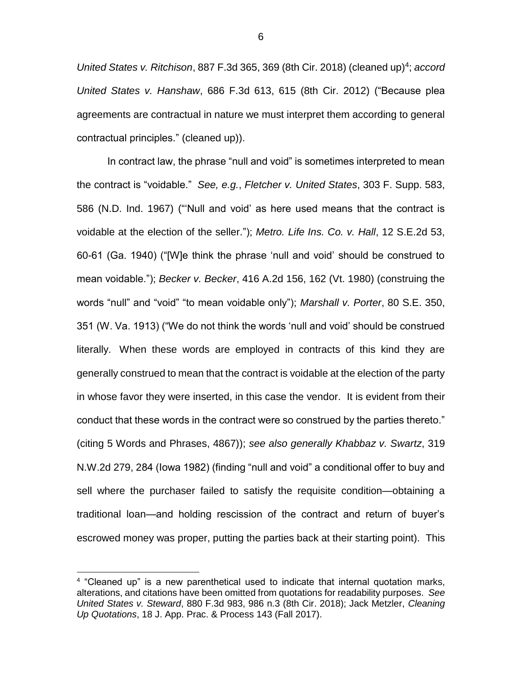United States v. Ritchison, 887 F.3d 365, 369 (8th Cir. 2018) (cleaned up)<sup>4</sup>; accord *United States v. Hanshaw*, 686 F.3d 613, 615 (8th Cir. 2012) ("Because plea agreements are contractual in nature we must interpret them according to general contractual principles." (cleaned up)).

In contract law, the phrase "null and void" is sometimes interpreted to mean the contract is "voidable." *See, e.g.*, *Fletcher v. United States*, 303 F. Supp. 583, 586 (N.D. Ind. 1967) ("'Null and void' as here used means that the contract is voidable at the election of the seller."); *Metro. Life Ins. Co. v. Hall*, 12 S.E.2d 53, 60-61 (Ga. 1940) ("[W]e think the phrase 'null and void' should be construed to mean voidable."); *Becker v. Becker*, 416 A.2d 156, 162 (Vt. 1980) (construing the words "null" and "void" "to mean voidable only"); *Marshall v. Porter*, 80 S.E. 350, 351 (W. Va. 1913) ("We do not think the words 'null and void' should be construed literally. When these words are employed in contracts of this kind they are generally construed to mean that the contract is voidable at the election of the party in whose favor they were inserted, in this case the vendor. It is evident from their conduct that these words in the contract were so construed by the parties thereto." (citing 5 Words and Phrases, 4867)); *see also generally Khabbaz v. Swartz*, 319 N.W.2d 279, 284 (Iowa 1982) (finding "null and void" a conditional offer to buy and sell where the purchaser failed to satisfy the requisite condition—obtaining a traditional loan—and holding rescission of the contract and return of buyer's escrowed money was proper, putting the parties back at their starting point). This

 $\overline{a}$ 

<sup>&</sup>lt;sup>4</sup> "Cleaned up" is a new parenthetical used to indicate that internal quotation marks, alterations, and citations have been omitted from quotations for readability purposes. *See United States v. Steward*, 880 F.3d 983, 986 n.3 (8th Cir. 2018); Jack Metzler, *Cleaning Up Quotations*, 18 J. App. Prac. & Process 143 (Fall 2017).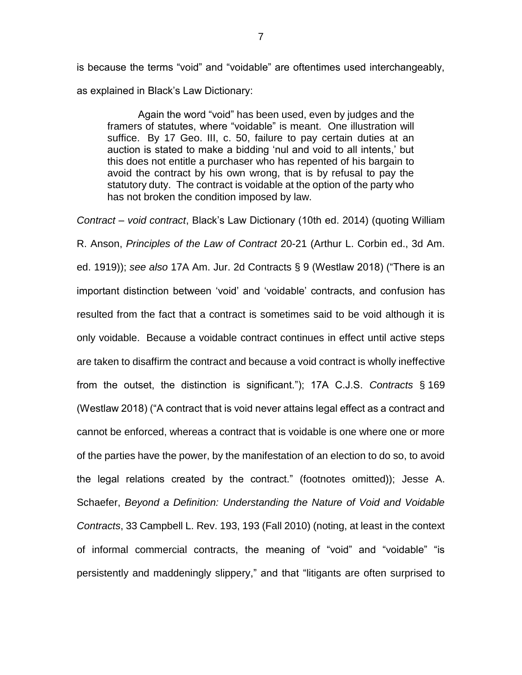is because the terms "void" and "voidable" are oftentimes used interchangeably, as explained in Black's Law Dictionary:

Again the word "void" has been used, even by judges and the framers of statutes, where "voidable" is meant. One illustration will suffice. By 17 Geo. III, c. 50, failure to pay certain duties at an auction is stated to make a bidding 'nul and void to all intents,' but this does not entitle a purchaser who has repented of his bargain to avoid the contract by his own wrong, that is by refusal to pay the statutory duty. The contract is voidable at the option of the party who has not broken the condition imposed by law.

*Contract – void contract*, Black's Law Dictionary (10th ed. 2014) (quoting William R. Anson, *Principles of the Law of Contract* 20-21 (Arthur L. Corbin ed., 3d Am. ed. 1919)); *see also* 17A Am. Jur. 2d Contracts § 9 (Westlaw 2018) ("There is an important distinction between 'void' and 'voidable' contracts, and confusion has resulted from the fact that a contract is sometimes said to be void although it is only voidable. Because a voidable contract continues in effect until active steps are taken to disaffirm the contract and because a void contract is wholly ineffective from the outset, the distinction is significant."); 17A C.J.S. *Contracts* § 169 (Westlaw 2018) ("A contract that is void never attains legal effect as a contract and cannot be enforced, whereas a contract that is voidable is one where one or more of the parties have the power, by the manifestation of an election to do so, to avoid the legal relations created by the contract." (footnotes omitted)); Jesse A. Schaefer, *Beyond a Definition: Understanding the Nature of Void and Voidable Contracts*, 33 Campbell L. Rev. 193, 193 (Fall 2010) (noting, at least in the context of informal commercial contracts, the meaning of "void" and "voidable" "is persistently and maddeningly slippery," and that "litigants are often surprised to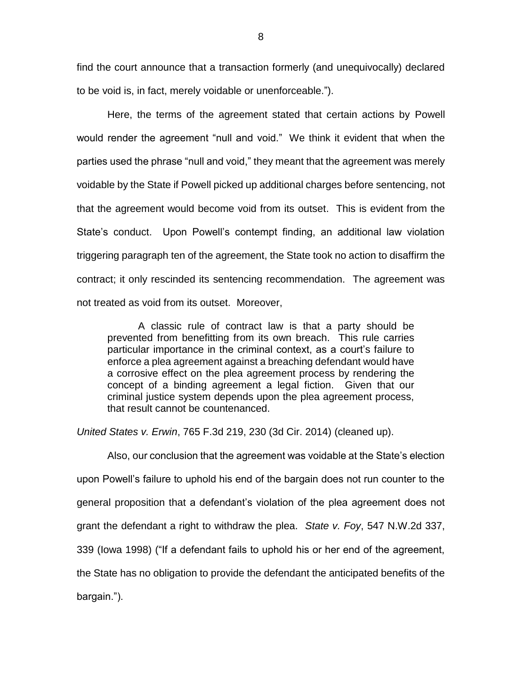find the court announce that a transaction formerly (and unequivocally) declared to be void is, in fact, merely voidable or unenforceable.").

Here, the terms of the agreement stated that certain actions by Powell would render the agreement "null and void." We think it evident that when the parties used the phrase "null and void," they meant that the agreement was merely voidable by the State if Powell picked up additional charges before sentencing, not that the agreement would become void from its outset. This is evident from the State's conduct. Upon Powell's contempt finding, an additional law violation triggering paragraph ten of the agreement, the State took no action to disaffirm the contract; it only rescinded its sentencing recommendation. The agreement was not treated as void from its outset. Moreover,

A classic rule of contract law is that a party should be prevented from benefitting from its own breach. This rule carries particular importance in the criminal context, as a court's failure to enforce a plea agreement against a breaching defendant would have a corrosive effect on the plea agreement process by rendering the concept of a binding agreement a legal fiction.Given that our criminal justice system depends upon the plea agreement process, that result cannot be countenanced.

*United States v. Erwin*, 765 F.3d 219, 230 (3d Cir. 2014) (cleaned up).

Also, our conclusion that the agreement was voidable at the State's election upon Powell's failure to uphold his end of the bargain does not run counter to the general proposition that a defendant's violation of the plea agreement does not grant the defendant a right to withdraw the plea. *State v. Foy*, 547 N.W.2d 337, 339 (Iowa 1998) ("If a defendant fails to uphold his or her end of the agreement, the State has no obligation to provide the defendant the anticipated benefits of the bargain.").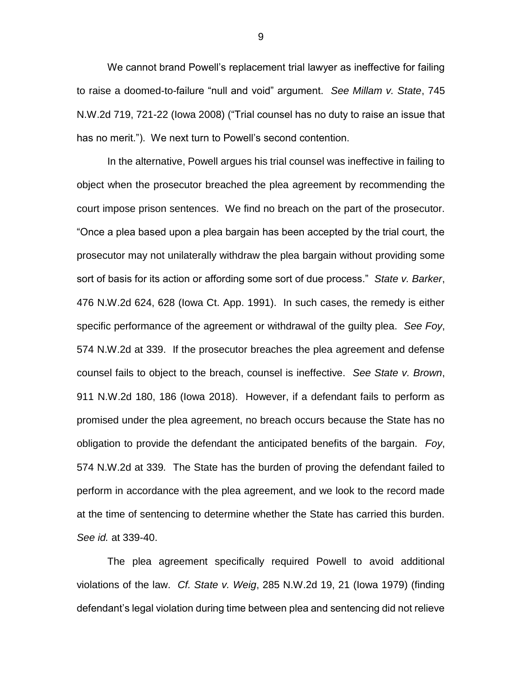We cannot brand Powell's replacement trial lawyer as ineffective for failing to raise a doomed-to-failure "null and void" argument. *See Millam v. State*, 745 N.W.2d 719, 721-22 (Iowa 2008) ("Trial counsel has no duty to raise an issue that has no merit."). We next turn to Powell's second contention.

In the alternative, Powell argues his trial counsel was ineffective in failing to object when the prosecutor breached the plea agreement by recommending the court impose prison sentences. We find no breach on the part of the prosecutor. "Once a plea based upon a plea bargain has been accepted by the trial court, the prosecutor may not unilaterally withdraw the plea bargain without providing some sort of basis for its action or affording some sort of due process." *State v. Barker*, 476 N.W.2d 624, 628 (Iowa Ct. App. 1991). In such cases, the remedy is either specific performance of the agreement or withdrawal of the guilty plea. *See Foy*, 574 N.W.2d at 339. If the prosecutor breaches the plea agreement and defense counsel fails to object to the breach, counsel is ineffective. *See State v. Brown*, 911 N.W.2d 180, 186 (Iowa 2018). However, if a defendant fails to perform as promised under the plea agreement, no breach occurs because the State has no obligation to provide the defendant the anticipated benefits of the bargain. *Foy*, 574 N.W.2d at 339*.* The State has the burden of proving the defendant failed to perform in accordance with the plea agreement, and we look to the record made at the time of sentencing to determine whether the State has carried this burden. *See id.* at 339-40.

The plea agreement specifically required Powell to avoid additional violations of the law. *Cf. State v. Weig*, 285 N.W.2d 19, 21 (Iowa 1979) (finding defendant's legal violation during time between plea and sentencing did not relieve

9